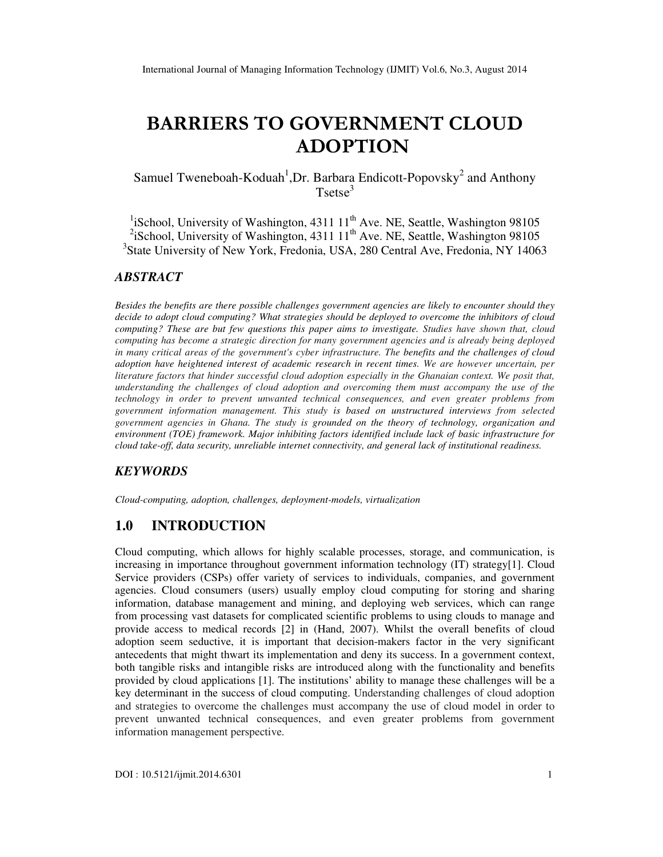# BARRIERS TO GOVERNMENT CLOUD ADOPTION

Samuel Tweneboah-Koduah<sup>1</sup>, Dr. Barbara Endicott-Popovsky<sup>2</sup> and Anthony  $Tsetse<sup>3</sup>$ 

<sup>1</sup>iSchool, University of Washington, 4311  $11<sup>th</sup>$  Ave. NE, Seattle, Washington 98105 <sup>2</sup>iSchool, University of Washington, 4311 11<sup>th</sup> Ave. NE, Seattle, Washington 98105 3 State University of New York, Fredonia, USA, 280 Central Ave, Fredonia, NY 14063

#### *ABSTRACT*

*Besides the benefits are there possible challenges government agencies are likely to encounter should they decide to adopt cloud computing? What strategies should be deployed to overcome the inhibitors of cloud computing? These are but few questions this paper aims to investigate. Studies have shown that, cloud computing has become a strategic direction for many government agencies and is already being deployed in many critical areas of the government's cyber infrastructure. The benefits and the challenges of cloud adoption have heightened interest of academic research in recent times. We are however uncertain, per literature factors that hinder successful cloud adoption especially in the Ghanaian context. We posit that, understanding the challenges of cloud adoption and overcoming them must accompany the use of the technology in order to prevent unwanted technical consequences, and even greater problems from government information management. This study is based on unstructured interviews from selected government agencies in Ghana. The study is grounded on the theory of technology, organization and environment (TOE) framework. Major inhibiting factors identified include lack of basic infrastructure for cloud take-off, data security, unreliable internet connectivity, and general lack of institutional readiness.* 

#### *KEYWORDS*

*Cloud-computing, adoption, challenges, deployment-models, virtualization* 

## **1.0 INTRODUCTION**

Cloud computing, which allows for highly scalable processes, storage, and communication, is increasing in importance throughout government information technology (IT) strategy[1]. Cloud Service providers (CSPs) offer variety of services to individuals, companies, and government agencies. Cloud consumers (users) usually employ cloud computing for storing and sharing information, database management and mining, and deploying web services, which can range from processing vast datasets for complicated scientific problems to using clouds to manage and provide access to medical records [2] in (Hand, 2007). Whilst the overall benefits of cloud adoption seem seductive, it is important that decision-makers factor in the very significant antecedents that might thwart its implementation and deny its success. In a government context, both tangible risks and intangible risks are introduced along with the functionality and benefits provided by cloud applications [1]. The institutions' ability to manage these challenges will be a key determinant in the success of cloud computing. Understanding challenges of cloud adoption and strategies to overcome the challenges must accompany the use of cloud model in order to prevent unwanted technical consequences, and even greater problems from government information management perspective.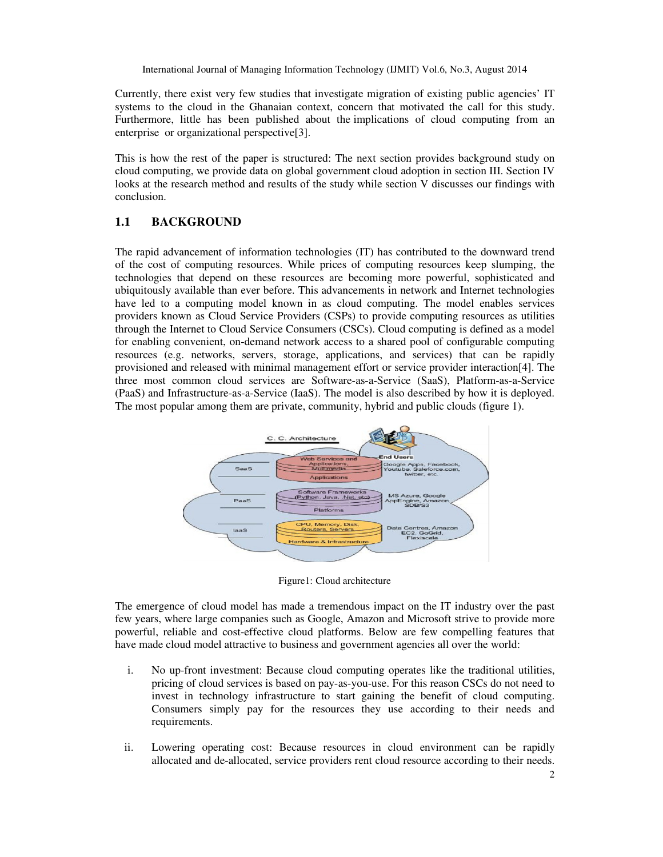International Journal of Managing Information Technology (IJMIT) Vol.6, No.3, August 2014

Currently, there exist very few studies that investigate migration of existing public agencies' IT systems to the cloud in the Ghanaian context, concern that motivated the call for this study. Furthermore, little has been published about the implications of cloud computing from an enterprise or organizational perspective[3].

This is how the rest of the paper is structured: The next section provides background study on cloud computing, we provide data on global government cloud adoption in section III. Section IV looks at the research method and results of the study while section V discusses our findings with conclusion.

## **1.1 BACKGROUND**

The rapid advancement of information technologies (IT) has contributed to the downward trend of the cost of computing resources. While prices of computing resources keep slumping, the technologies that depend on these resources are becoming more powerful, sophisticated and ubiquitously available than ever before. This advancements in network and Internet technologies have led to a computing model known in as cloud computing. The model enables services providers known as Cloud Service Providers (CSPs) to provide computing resources as utilities through the Internet to Cloud Service Consumers (CSCs). Cloud computing is defined as a model for enabling convenient, on-demand network access to a shared pool of configurable computing resources (e.g. networks, servers, storage, applications, and services) that can be rapidly provisioned and released with minimal management effort or service provider interaction[4]. The three most common cloud services are Software-as-a-Service (SaaS), Platform-as-a-Service (PaaS) and Infrastructure-as-a-Service (IaaS). The model is also described by how it is deployed. The most popular among them are private, community, hybrid and public clouds (figure 1).



Figure1: Cloud architecture

The emergence of cloud model has made a tremendous impact on the IT industry over the past few years, where large companies such as Google, Amazon and Microsoft strive to provide more powerful, reliable and cost-effective cloud platforms. Below are few compelling features that have made cloud model attractive to business and government agencies all over the world:

- i. No up-front investment: Because cloud computing operates like the traditional utilities, pricing of cloud services is based on pay-as-you-use. For this reason CSCs do not need to invest in technology infrastructure to start gaining the benefit of cloud computing. Consumers simply pay for the resources they use according to their needs and requirements.
- ii. Lowering operating cost: Because resources in cloud environment can be rapidly allocated and de-allocated, service providers rent cloud resource according to their needs.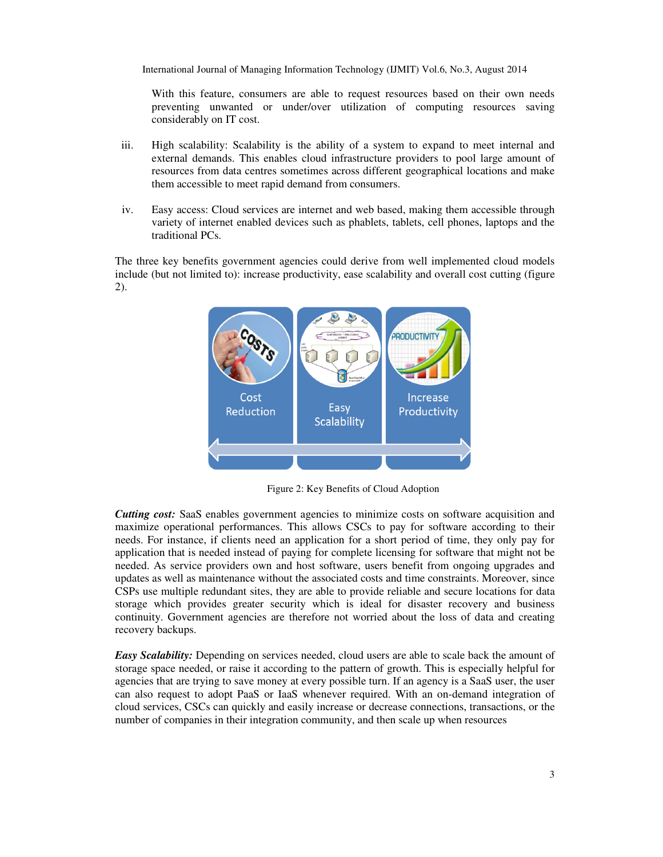International Journal of Managing Information Technology (IJMIT) Vol.6, No.3, August 2014

With this feature, consumers are able to request resources based on their own needs preventing unwanted or under/over utilization of computing resources saving considerably on IT cost.

- iii. High scalability: Scalability is the ability of a system to expand to meet internal and external demands. This enables cloud infrastructure providers to pool large amount of resources from data centres sometimes across different geographical locations and make them accessible to meet rapid demand from consumers.
- iv. Easy access: Cloud services are internet and web based, making them accessible through variety of internet enabled devices such as phablets, tablets, cell phones, laptops and the traditional PCs.

The three key benefits government agencies could derive from well implemented cloud models include (but not limited to): increase productivity, ease scalability and overall cost cutting (figure 2).



Figure 2: Key Benefits of Cloud Adoption

*Cutting cost:* SaaS enables government agencies to minimize costs on software acquisition and maximize operational performances. This allows CSCs to pay for software according to their needs. For instance, if clients need an application for a short period of time, they only pay for application that is needed instead of paying for complete licensing for software that might not be needed. As service providers own and host software, users benefit from ongoing upgrades and updates as well as maintenance without the associated costs and time constraints. Moreover, since CSPs use multiple redundant sites, they are able to provide reliable and secure locations for data storage which provides greater security which is ideal for disaster recovery and business continuity. Government agencies are therefore not worried about the loss of data and creating recovery backups.

*Easy Scalability:* Depending on services needed, cloud users are able to scale back the amount of storage space needed, or raise it according to the pattern of growth. This is especially helpful for agencies that are trying to save money at every possible turn. If an agency is a SaaS user, the user can also request to adopt PaaS or IaaS whenever required. With an on-demand integration of cloud services, CSCs can quickly and easily increase or decrease connections, transactions, or the number of companies in their integration community, and then scale up when resources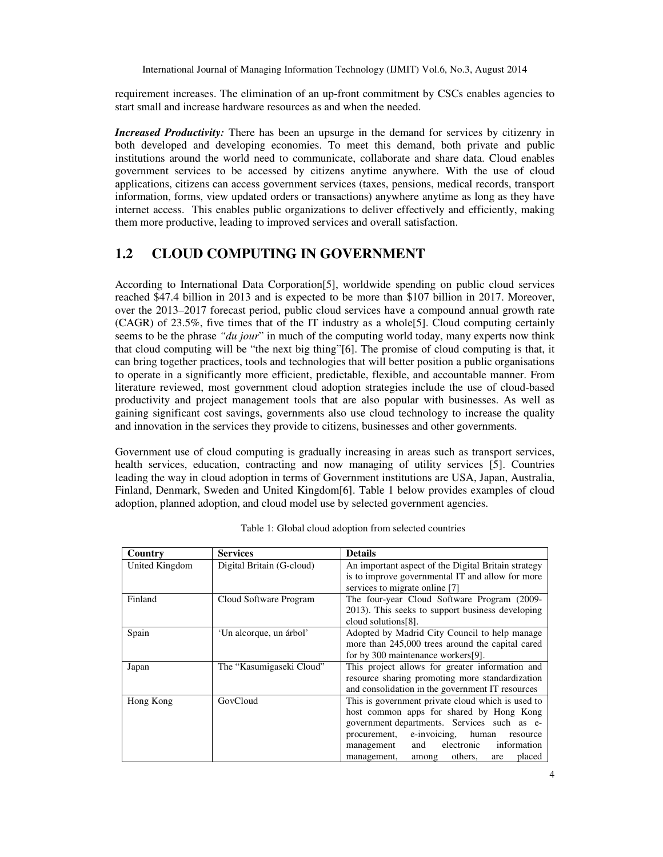International Journal of Managing Information Technology (IJMIT) Vol.6, No.3, August 2014

requirement increases. The elimination of an up-front commitment by CSCs enables agencies to start small and increase hardware resources as and when the needed.

*Increased Productivity:* There has been an upsurge in the demand for services by citizenry in both developed and developing economies. To meet this demand, both private and public institutions around the world need to communicate, collaborate and share data. Cloud enables government services to be accessed by citizens anytime anywhere. With the use of cloud applications, citizens can access government services (taxes, pensions, medical records, transport information, forms, view updated orders or transactions) anywhere anytime as long as they have internet access. This enables public organizations to deliver effectively and efficiently, making them more productive, leading to improved services and overall satisfaction.

# **1.2 CLOUD COMPUTING IN GOVERNMENT**

According to International Data Corporation[5], worldwide spending on public cloud services reached \$47.4 billion in 2013 and is expected to be more than \$107 billion in 2017. Moreover, over the 2013–2017 forecast period, public cloud services have a compound annual growth rate  $(CAGR)$  of 23.5%, five times that of the IT industry as a whole[5]. Cloud computing certainly seems to be the phrase *"du jour*" in much of the computing world today, many experts now think that cloud computing will be "the next big thing"[6]. The promise of cloud computing is that, it can bring together practices, tools and technologies that will better position a public organisations to operate in a significantly more efficient, predictable, flexible, and accountable manner. From literature reviewed, most government cloud adoption strategies include the use of cloud-based productivity and project management tools that are also popular with businesses. As well as gaining significant cost savings, governments also use cloud technology to increase the quality and innovation in the services they provide to citizens, businesses and other governments.

Government use of cloud computing is gradually increasing in areas such as transport services, health services, education, contracting and now managing of utility services [5]. Countries leading the way in cloud adoption in terms of Government institutions are USA, Japan, Australia, Finland, Denmark, Sweden and United Kingdom[6]. Table 1 below provides examples of cloud adoption, planned adoption, and cloud model use by selected government agencies.

| Country        | <b>Services</b>           | <b>Details</b>                                      |  |  |
|----------------|---------------------------|-----------------------------------------------------|--|--|
| United Kingdom | Digital Britain (G-cloud) | An important aspect of the Digital Britain strategy |  |  |
|                |                           | is to improve governmental IT and allow for more    |  |  |
|                |                           | services to migrate online [7]                      |  |  |
| Finland        | Cloud Software Program    | The four-year Cloud Software Program (2009-         |  |  |
|                |                           | 2013). This seeks to support business developing    |  |  |
|                |                           | cloud solutions[8].                                 |  |  |
| Spain          | 'Un alcorque, un árbol'   | Adopted by Madrid City Council to help manage       |  |  |
|                |                           | more than 245,000 trees around the capital cared    |  |  |
|                |                           | for by 300 maintenance workers[9].                  |  |  |
| Japan          | The "Kasumigaseki Cloud"  | This project allows for greater information and     |  |  |
|                |                           | resource sharing promoting more standardization     |  |  |
|                |                           | and consolidation in the government IT resources    |  |  |
| Hong Kong      | GovCloud                  | This is government private cloud which is used to   |  |  |
|                |                           | host common apps for shared by Hong Kong            |  |  |
|                |                           | government departments. Services such as e-         |  |  |
|                |                           | procurement, e-invoicing, human<br>resource         |  |  |
|                |                           | electronic<br>information<br>and<br>management      |  |  |
|                |                           | others,<br>placed<br>management,<br>among<br>are    |  |  |

Table 1: Global cloud adoption from selected countries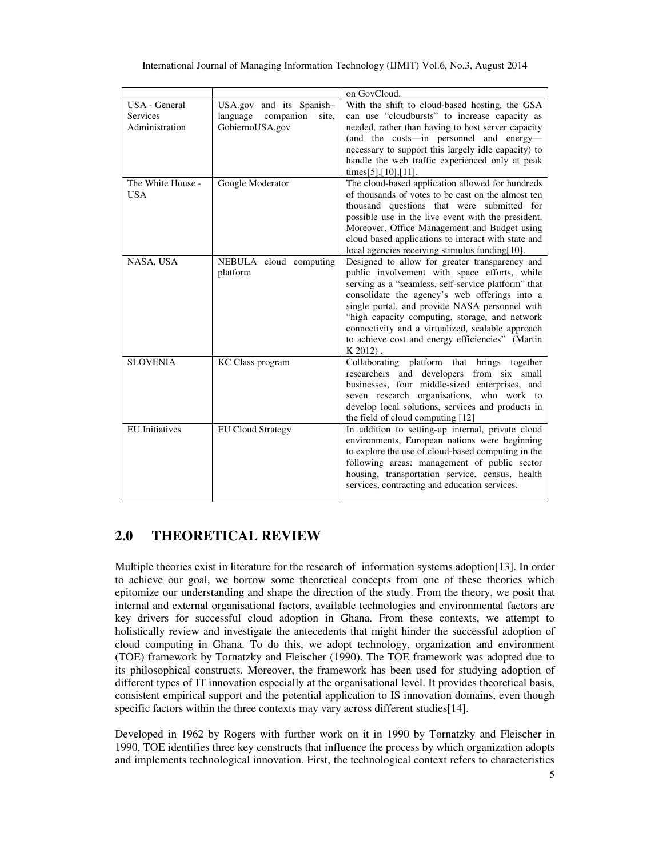|                       |                                | on GovCloud.                                        |  |  |
|-----------------------|--------------------------------|-----------------------------------------------------|--|--|
| USA - General         | USA.gov and its Spanish-       | With the shift to cloud-based hosting, the GSA      |  |  |
| <b>Services</b>       | companion<br>language<br>site, | can use "cloudbursts" to increase capacity as       |  |  |
| Administration        | GobiernoUSA.gov                | needed, rather than having to host server capacity  |  |  |
|                       |                                | (and the costs—in personnel and energy—             |  |  |
|                       |                                | necessary to support this largely idle capacity) to |  |  |
|                       |                                | handle the web traffic experienced only at peak     |  |  |
|                       |                                | times $[5]$ , $[10]$ , $[11]$ .                     |  |  |
| The White House -     | Google Moderator               | The cloud-based application allowed for hundreds    |  |  |
| <b>USA</b>            |                                | of thousands of votes to be cast on the almost ten  |  |  |
|                       |                                | thousand questions that were submitted for          |  |  |
|                       |                                | possible use in the live event with the president.  |  |  |
|                       |                                | Moreover, Office Management and Budget using        |  |  |
|                       |                                | cloud based applications to interact with state and |  |  |
|                       |                                | local agencies receiving stimulus funding[10].      |  |  |
| NASA, USA             | NEBULA cloud computing         | Designed to allow for greater transparency and      |  |  |
|                       | platform                       | public involvement with space efforts, while        |  |  |
|                       |                                | serving as a "seamless, self-service platform" that |  |  |
|                       |                                | consolidate the agency's web offerings into a       |  |  |
|                       |                                | single portal, and provide NASA personnel with      |  |  |
|                       |                                | "high capacity computing, storage, and network      |  |  |
|                       |                                | connectivity and a virtualized, scalable approach   |  |  |
|                       |                                | to achieve cost and energy efficiencies" (Martin    |  |  |
|                       |                                | $K2012$ .                                           |  |  |
| <b>SLOVENIA</b>       | <b>KC</b> Class program        | Collaborating platform that brings together         |  |  |
|                       |                                | researchers and developers from six small           |  |  |
|                       |                                | businesses, four middle-sized enterprises, and      |  |  |
|                       |                                | seven research organisations, who work to           |  |  |
|                       |                                | develop local solutions, services and products in   |  |  |
|                       |                                | the field of cloud computing [12]                   |  |  |
| <b>EU</b> Initiatives | <b>EU Cloud Strategy</b>       | In addition to setting-up internal, private cloud   |  |  |
|                       |                                | environments, European nations were beginning       |  |  |
|                       |                                | to explore the use of cloud-based computing in the  |  |  |
|                       |                                | following areas: management of public sector        |  |  |
|                       |                                | housing, transportation service, census, health     |  |  |
|                       |                                | services, contracting and education services.       |  |  |
|                       |                                |                                                     |  |  |

# **2.0 THEORETICAL REVIEW**

Multiple theories exist in literature for the research of information systems adoption[13]. In order to achieve our goal, we borrow some theoretical concepts from one of these theories which epitomize our understanding and shape the direction of the study. From the theory, we posit that internal and external organisational factors, available technologies and environmental factors are key drivers for successful cloud adoption in Ghana. From these contexts, we attempt to holistically review and investigate the antecedents that might hinder the successful adoption of cloud computing in Ghana. To do this, we adopt technology, organization and environment (TOE) framework by Tornatzky and Fleischer (1990). The TOE framework was adopted due to its philosophical constructs. Moreover, the framework has been used for studying adoption of different types of IT innovation especially at the organisational level. It provides theoretical basis, consistent empirical support and the potential application to IS innovation domains, even though specific factors within the three contexts may vary across different studies[14].

Developed in 1962 by Rogers with further work on it in 1990 by Tornatzky and Fleischer in 1990, TOE identifies three key constructs that influence the process by which organization adopts and implements technological innovation. First, the technological context refers to characteristics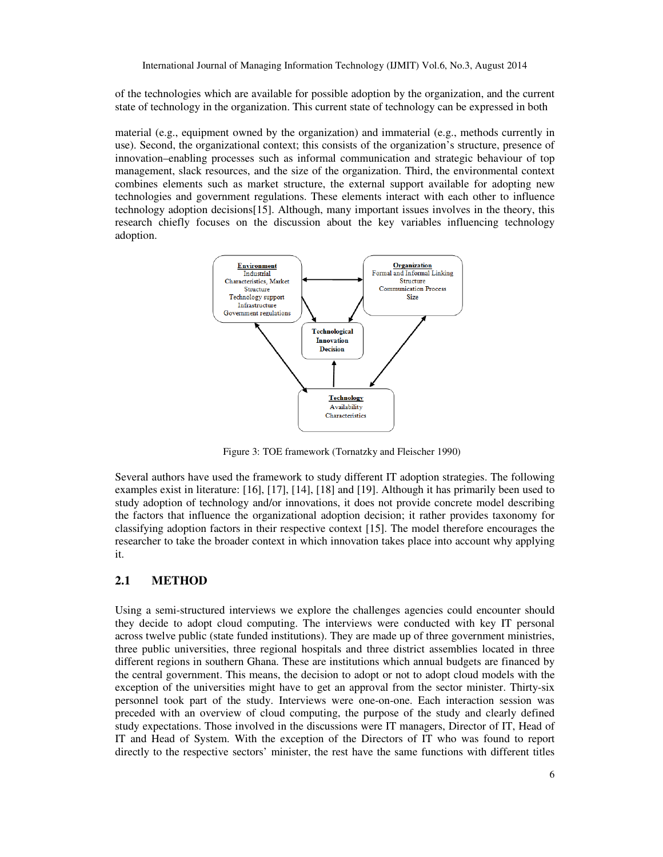of the technologies which are available for possible adoption by the organization, and the current state of technology in the organization. This current state of technology can be expressed in both

material (e.g., equipment owned by the organization) and immaterial (e.g., methods currently in use). Second, the organizational context; this consists of the organization's structure, presence of innovation–enabling processes such as informal communication and strategic behaviour of top management, slack resources, and the size of the organization. Third, the environmental context combines elements such as market structure, the external support available for adopting new technologies and government regulations. These elements interact with each other to influence technology adoption decisions[15]. Although, many important issues involves in the theory, this research chiefly focuses on the discussion about the key variables influencing technology adoption.



Figure 3: TOE framework (Tornatzky and Fleischer 1990)

Several authors have used the framework to study different IT adoption strategies. The following examples exist in literature: [16], [17], [14], [18] and [19]. Although it has primarily been used to study adoption of technology and/or innovations, it does not provide concrete model describing the factors that influence the organizational adoption decision; it rather provides taxonomy for classifying adoption factors in their respective context [15]. The model therefore encourages the researcher to take the broader context in which innovation takes place into account why applying it.

#### **2.1 METHOD**

Using a semi-structured interviews we explore the challenges agencies could encounter should they decide to adopt cloud computing. The interviews were conducted with key IT personal across twelve public (state funded institutions). They are made up of three government ministries, three public universities, three regional hospitals and three district assemblies located in three different regions in southern Ghana. These are institutions which annual budgets are financed by the central government. This means, the decision to adopt or not to adopt cloud models with the exception of the universities might have to get an approval from the sector minister. Thirty-six personnel took part of the study. Interviews were one-on-one. Each interaction session was preceded with an overview of cloud computing, the purpose of the study and clearly defined study expectations. Those involved in the discussions were IT managers, Director of IT, Head of IT and Head of System. With the exception of the Directors of IT who was found to report directly to the respective sectors' minister, the rest have the same functions with different titles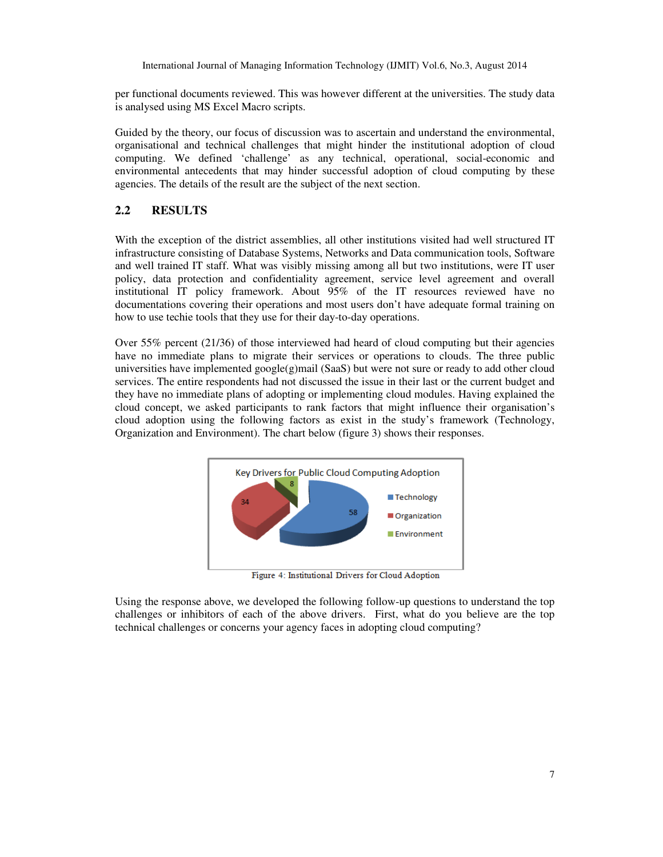per functional documents reviewed. This was however different at the universities. The study data is analysed using MS Excel Macro scripts.

Guided by the theory, our focus of discussion was to ascertain and understand the environmental, organisational and technical challenges that might hinder the institutional adoption of cloud computing. We defined 'challenge' as any technical, operational, social-economic and environmental antecedents that may hinder successful adoption of cloud computing by these agencies. The details of the result are the subject of the next section.

## **2.2 RESULTS**

With the exception of the district assemblies, all other institutions visited had well structured IT infrastructure consisting of Database Systems, Networks and Data communication tools, Software and well trained IT staff. What was visibly missing among all but two institutions, were IT user policy, data protection and confidentiality agreement, service level agreement and overall institutional IT policy framework. About 95% of the IT resources reviewed have no documentations covering their operations and most users don't have adequate formal training on how to use techie tools that they use for their day-to-day operations.

Over 55% percent (21/36) of those interviewed had heard of cloud computing but their agencies have no immediate plans to migrate their services or operations to clouds. The three public universities have implemented google(g)mail (SaaS) but were not sure or ready to add other cloud services. The entire respondents had not discussed the issue in their last or the current budget and they have no immediate plans of adopting or implementing cloud modules. Having explained the cloud concept, we asked participants to rank factors that might influence their organisation's cloud adoption using the following factors as exist in the study's framework (Technology, Organization and Environment). The chart below (figure 3) shows their responses.



Figure 4: Institutional Drivers for Cloud Adoption

Using the response above, we developed the following follow-up questions to understand the top challenges or inhibitors of each of the above drivers. First, what do you believe are the top technical challenges or concerns your agency faces in adopting cloud computing?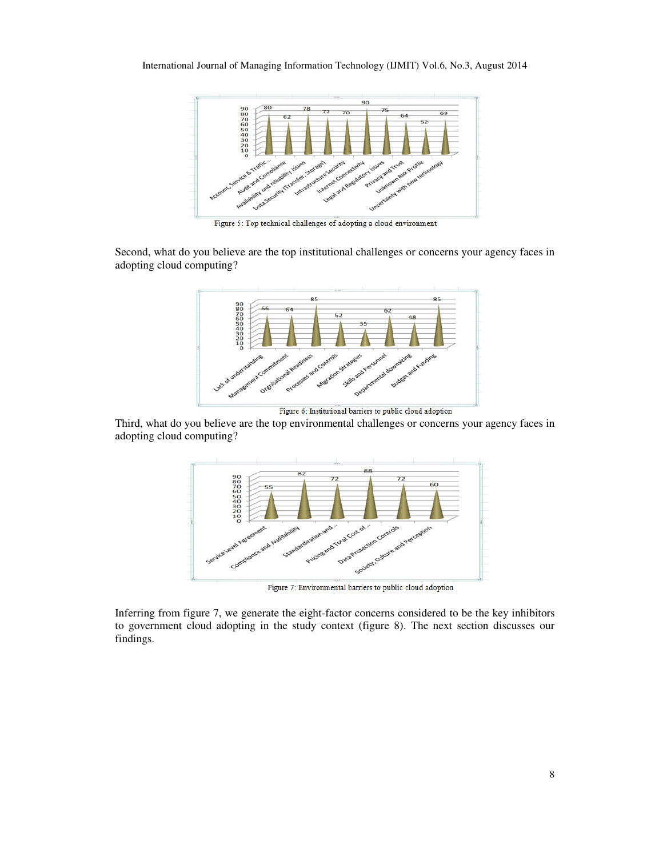

Figure 5: Top technical challenges of adopting a cloud environment

Second, what do you believe are the top institutional challenges or concerns your agency faces in adopting cloud computing?



Figure 6: Institutional barriers to public cloud adoption

Third, what do you believe are the top environmental challenges or concerns your agency faces in adopting cloud computing?



Figure 7: Environmental barriers to public cloud adoption

Inferring from figure 7, we generate the eight-factor concerns considered to be the key inhibitors to government cloud adopting in the study context (figure 8). The next section discusses our findings.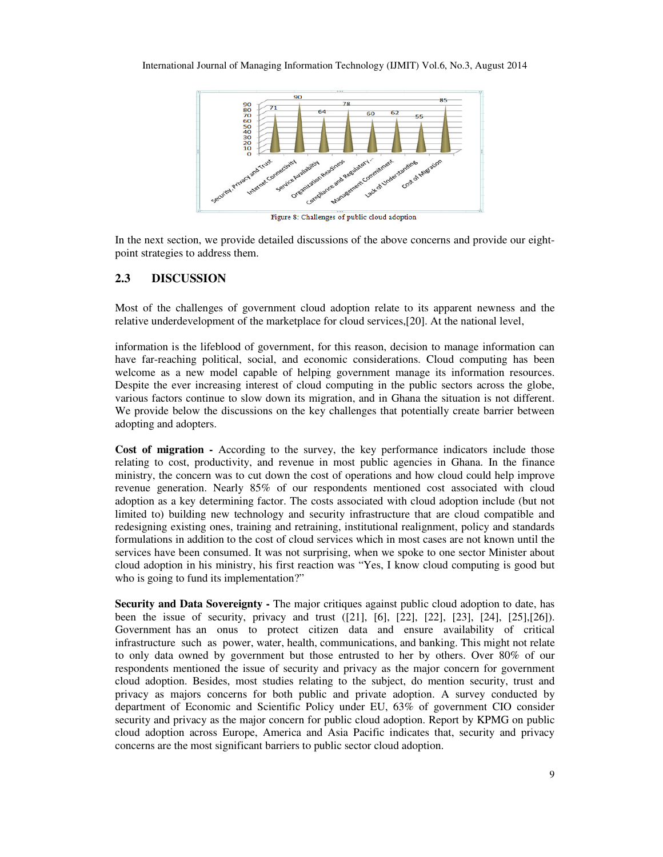

Figure 8: Challenges of public cloud adoption

In the next section, we provide detailed discussions of the above concerns and provide our eightpoint strategies to address them.

#### **2.3 DISCUSSION**

Most of the challenges of government cloud adoption relate to its apparent newness and the relative underdevelopment of the marketplace for cloud services,[20]. At the national level,

information is the lifeblood of government, for this reason, decision to manage information can have far-reaching political, social, and economic considerations. Cloud computing has been welcome as a new model capable of helping government manage its information resources. Despite the ever increasing interest of cloud computing in the public sectors across the globe, various factors continue to slow down its migration, and in Ghana the situation is not different. We provide below the discussions on the key challenges that potentially create barrier between adopting and adopters.

**Cost of migration -** According to the survey, the key performance indicators include those relating to cost, productivity, and revenue in most public agencies in Ghana. In the finance ministry, the concern was to cut down the cost of operations and how cloud could help improve revenue generation. Nearly 85% of our respondents mentioned cost associated with cloud adoption as a key determining factor. The costs associated with cloud adoption include (but not limited to) building new technology and security infrastructure that are cloud compatible and redesigning existing ones, training and retraining, institutional realignment, policy and standards formulations in addition to the cost of cloud services which in most cases are not known until the services have been consumed. It was not surprising, when we spoke to one sector Minister about cloud adoption in his ministry, his first reaction was "Yes, I know cloud computing is good but who is going to fund its implementation?"

**Security and Data Sovereignty -** The major critiques against public cloud adoption to date, has been the issue of security, privacy and trust ([21], [6], [22], [22], [23], [24], [25],[26]). Government has an onus to protect citizen data and ensure availability of critical infrastructure such as power, water, health, communications, and banking. This might not relate to only data owned by government but those entrusted to her by others. Over 80% of our respondents mentioned the issue of security and privacy as the major concern for government cloud adoption. Besides, most studies relating to the subject, do mention security, trust and privacy as majors concerns for both public and private adoption. A survey conducted by department of Economic and Scientific Policy under EU, 63% of government CIO consider security and privacy as the major concern for public cloud adoption. Report by KPMG on public cloud adoption across Europe, America and Asia Pacific indicates that, security and privacy concerns are the most significant barriers to public sector cloud adoption.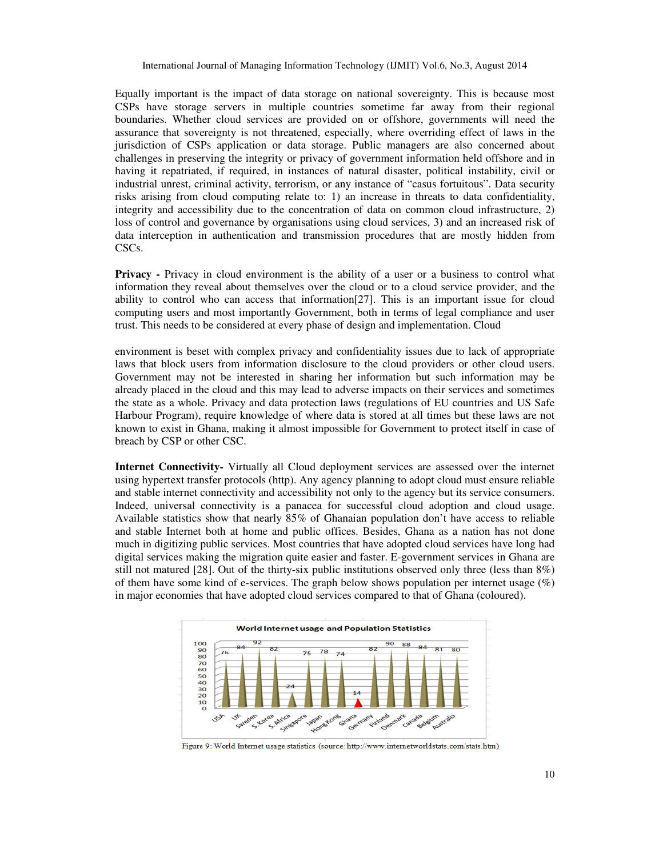Equally important is the impact of data storage on national sovereignty. This is because most CSPs have storage servers in multiple countries sometime far away from their regional boundaries. Whether cloud services are provided on or offshore, governments will need the assurance that sovereignty is not threatened, especially, where overriding effect of laws in the jurisdiction of CSPs application or data storage. Public managers are also concerned about challenges in preserving the integrity or privacy of government information held offshore and in having it repatriated, if required, in instances of natural disaster, political instability, civil or industrial unrest, criminal activity, terrorism, or any instance of "casus fortuitous". Data security risks arising from cloud computing relate to: 1) an increase in threats to data confidentiality, integrity and accessibility due to the concentration of data on common cloud infrastructure, 2) loss of control and governance by organisations using cloud services, 3) and an increased risk of data interception in authentication and transmission procedures that are mostly hidden from CSCs.

**Privacy** - Privacy in cloud environment is the ability of a user or a business to control what information they reveal about themselves over the cloud or to a cloud service provider, and the ability to control who can access that information[27]. This is an important issue for cloud computing users and most importantly Government, both in terms of legal compliance and user trust. This needs to be considered at every phase of design and implementation. Cloud

environment is beset with complex privacy and confidentiality issues due to lack of appropriate laws that block users from information disclosure to the cloud providers or other cloud users. Government may not be interested in sharing her information but such information may be already placed in the cloud and this may lead to adverse impacts on their services and sometimes the state as a whole. Privacy and data protection laws (regulations of EU countries and US Safe Harbour Program), require knowledge of where data is stored at all times but these laws are not known to exist in Ghana, making it almost impossible for Government to protect itself in case of breach by CSP or other CSC.

**Internet Connectivity-** Virtually all Cloud deployment services are assessed over the internet using hypertext transfer protocols (http). Any agency planning to adopt cloud must ensure reliable and stable internet connectivity and accessibility not only to the agency but its service consumers. Indeed, universal connectivity is a panacea for successful cloud adoption and cloud usage. Available statistics show that nearly 85% of Ghanaian population don't have access to reliable and stable Internet both at home and public offices. Besides, Ghana as a nation has not done much in digitizing public services. Most countries that have adopted cloud services have long had digital services making the migration quite easier and faster. E-government services in Ghana are still not matured [28]. Out of the thirty-six public institutions observed only three (less than 8%) of them have some kind of e-services. The graph below shows population per internet usage  $(\%)$ in major economies that have adopted cloud services compared to that of Ghana (coloured).



Figure 9: World Internet usage statistics (source: http://www.internetworldstats.com/stats.htm)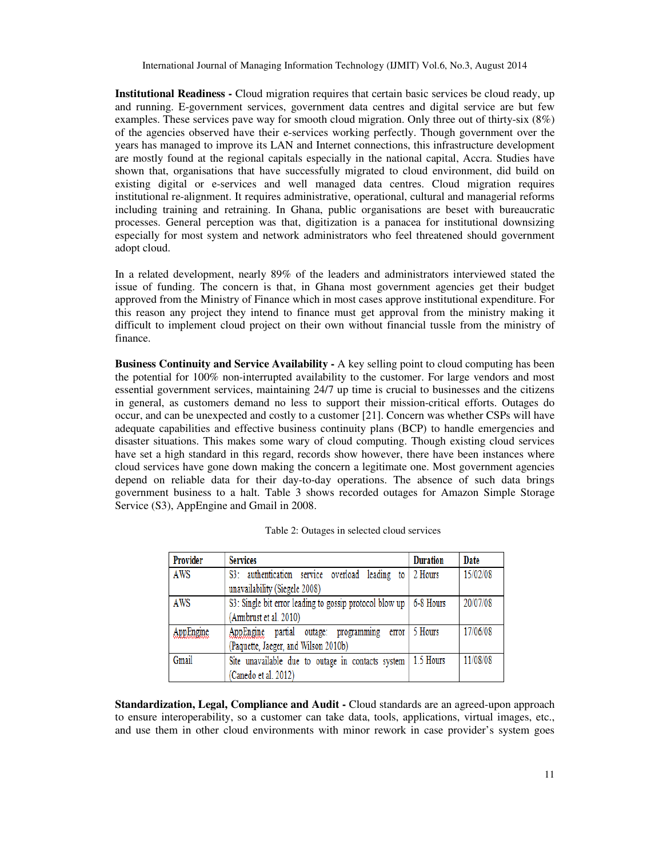**Institutional Readiness -** Cloud migration requires that certain basic services be cloud ready, up and running. E-government services, government data centres and digital service are but few examples. These services pave way for smooth cloud migration. Only three out of thirty-six  $(8\%)$ of the agencies observed have their e-services working perfectly. Though government over the years has managed to improve its LAN and Internet connections, this infrastructure development are mostly found at the regional capitals especially in the national capital, Accra. Studies have shown that, organisations that have successfully migrated to cloud environment, did build on existing digital or e-services and well managed data centres. Cloud migration requires institutional re-alignment. It requires administrative, operational, cultural and managerial reforms including training and retraining. In Ghana, public organisations are beset with bureaucratic processes. General perception was that, digitization is a panacea for institutional downsizing especially for most system and network administrators who feel threatened should government adopt cloud.

In a related development, nearly 89% of the leaders and administrators interviewed stated the issue of funding. The concern is that, in Ghana most government agencies get their budget approved from the Ministry of Finance which in most cases approve institutional expenditure. For this reason any project they intend to finance must get approval from the ministry making it difficult to implement cloud project on their own without financial tussle from the ministry of finance.

**Business Continuity and Service Availability - A key selling point to cloud computing has been** the potential for 100% non-interrupted availability to the customer. For large vendors and most essential government services, maintaining 24/7 up time is crucial to businesses and the citizens in general, as customers demand no less to support their mission-critical efforts. Outages do occur, and can be unexpected and costly to a customer [21]. Concern was whether CSPs will have adequate capabilities and effective business continuity plans (BCP) to handle emergencies and disaster situations. This makes some wary of cloud computing. Though existing cloud services have set a high standard in this regard, records show however, there have been instances where cloud services have gone down making the concern a legitimate one. Most government agencies depend on reliable data for their day-to-day operations. The absence of such data brings government business to a halt. Table 3 shows recorded outages for Amazon Simple Storage Service (S3), AppEngine and Gmail in 2008.

| <b>Provider</b> | <b>Services</b>                                         | <b>Duration</b> | Date     |
|-----------------|---------------------------------------------------------|-----------------|----------|
| AWS             | S3: authentication service overload<br>leading to       | 2 Hours         | 15/02/08 |
|                 | unavailability (Siegele 2008)                           |                 |          |
| AWS             | S3: Single bit error leading to gossip protocol blow up | 6-8 Hours       | 20/07/08 |
|                 | (Armbrust et al. 2010)                                  |                 |          |
| AppEngine       | AppEngine<br>partial<br>outage: programming<br>error    | 5 Hours         | 17/06/08 |
|                 | (Paquette, Jaeger, and Wilson 2010b)                    |                 |          |
| Gmail           | Site unavailable due to outage in contacts system       | 1.5 Hours       | 11/08/08 |
|                 | (Canedo et al. 2012)                                    |                 |          |

**Standardization, Legal, Compliance and Audit -** Cloud standards are an agreed-upon approach to ensure interoperability, so a customer can take data, tools, applications, virtual images, etc., and use them in other cloud environments with minor rework in case provider's system goes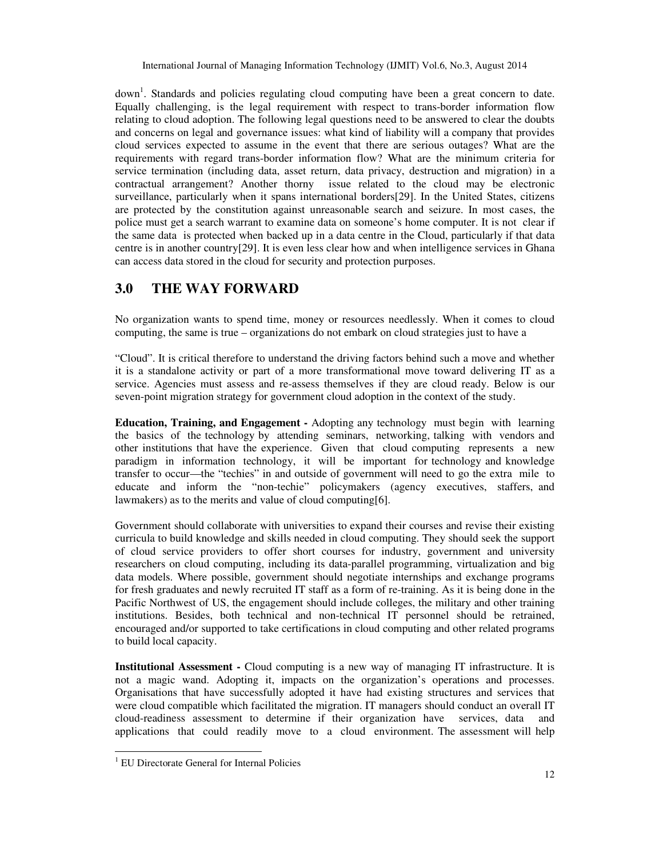down<sup>1</sup>. Standards and policies regulating cloud computing have been a great concern to date. Equally challenging, is the legal requirement with respect to trans-border information flow relating to cloud adoption. The following legal questions need to be answered to clear the doubts and concerns on legal and governance issues: what kind of liability will a company that provides cloud services expected to assume in the event that there are serious outages? What are the requirements with regard trans-border information flow? What are the minimum criteria for service termination (including data, asset return, data privacy, destruction and migration) in a contractual arrangement? Another thorny issue related to the cloud may be electronic surveillance, particularly when it spans international borders[29]. In the United States, citizens are protected by the constitution against unreasonable search and seizure. In most cases, the police must get a search warrant to examine data on someone's home computer. It is not clear if the same data is protected when backed up in a data centre in the Cloud, particularly if that data centre is in another country[29]. It is even less clear how and when intelligence services in Ghana can access data stored in the cloud for security and protection purposes.

# **3.0 THE WAY FORWARD**

No organization wants to spend time, money or resources needlessly. When it comes to cloud computing, the same is true – organizations do not embark on cloud strategies just to have a

"Cloud". It is critical therefore to understand the driving factors behind such a move and whether it is a standalone activity or part of a more transformational move toward delivering IT as a service. Agencies must assess and re-assess themselves if they are cloud ready. Below is our seven-point migration strategy for government cloud adoption in the context of the study.

**Education, Training, and Engagement -** Adopting any technology must begin with learning the basics of the technology by attending seminars, networking, talking with vendors and other institutions that have the experience. Given that cloud computing represents a new paradigm in information technology, it will be important for technology and knowledge transfer to occur—the "techies" in and outside of government will need to go the extra mile to educate and inform the "non-techie" policymakers (agency executives, staffers, and lawmakers) as to the merits and value of cloud computing[6].

Government should collaborate with universities to expand their courses and revise their existing curricula to build knowledge and skills needed in cloud computing. They should seek the support of cloud service providers to offer short courses for industry, government and university researchers on cloud computing, including its data-parallel programming, virtualization and big data models. Where possible, government should negotiate internships and exchange programs for fresh graduates and newly recruited IT staff as a form of re-training. As it is being done in the Pacific Northwest of US, the engagement should include colleges, the military and other training institutions. Besides, both technical and non-technical IT personnel should be retrained, encouraged and/or supported to take certifications in cloud computing and other related programs to build local capacity.

**Institutional Assessment -** Cloud computing is a new way of managing IT infrastructure. It is not a magic wand. Adopting it, impacts on the organization's operations and processes. Organisations that have successfully adopted it have had existing structures and services that were cloud compatible which facilitated the migration. IT managers should conduct an overall IT cloud-readiness assessment to determine if their organization have services, data and applications that could readily move to a cloud environment. The assessment will help

 $\overline{a}$ 

<sup>&</sup>lt;sup>1</sup> EU Directorate General for Internal Policies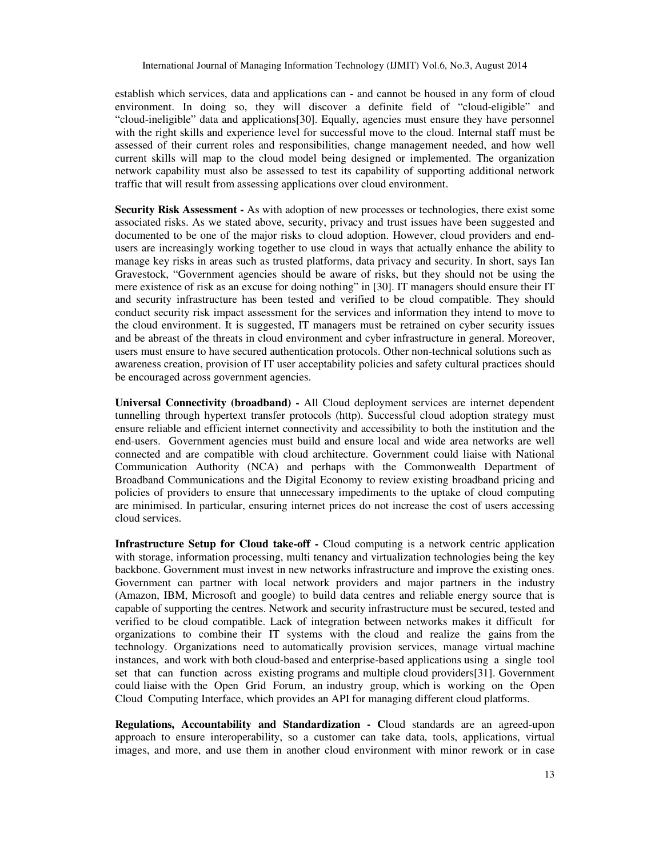establish which services, data and applications can - and cannot be housed in any form of cloud environment. In doing so, they will discover a definite field of "cloud-eligible" and "cloud-ineligible" data and applications[30]. Equally, agencies must ensure they have personnel with the right skills and experience level for successful move to the cloud. Internal staff must be assessed of their current roles and responsibilities, change management needed, and how well current skills will map to the cloud model being designed or implemented. The organization network capability must also be assessed to test its capability of supporting additional network traffic that will result from assessing applications over cloud environment.

**Security Risk Assessment -** As with adoption of new processes or technologies, there exist some associated risks. As we stated above, security, privacy and trust issues have been suggested and documented to be one of the major risks to cloud adoption. However, cloud providers and endusers are increasingly working together to use cloud in ways that actually enhance the ability to manage key risks in areas such as trusted platforms, data privacy and security. In short, says Ian Gravestock, "Government agencies should be aware of risks, but they should not be using the mere existence of risk as an excuse for doing nothing" in [30]. IT managers should ensure their IT and security infrastructure has been tested and verified to be cloud compatible. They should conduct security risk impact assessment for the services and information they intend to move to the cloud environment. It is suggested, IT managers must be retrained on cyber security issues and be abreast of the threats in cloud environment and cyber infrastructure in general. Moreover, users must ensure to have secured authentication protocols. Other non-technical solutions such as awareness creation, provision of IT user acceptability policies and safety cultural practices should be encouraged across government agencies.

**Universal Connectivity (broadband) -** All Cloud deployment services are internet dependent tunnelling through hypertext transfer protocols (http). Successful cloud adoption strategy must ensure reliable and efficient internet connectivity and accessibility to both the institution and the end-users. Government agencies must build and ensure local and wide area networks are well connected and are compatible with cloud architecture. Government could liaise with National Communication Authority (NCA) and perhaps with the Commonwealth Department of Broadband Communications and the Digital Economy to review existing broadband pricing and policies of providers to ensure that unnecessary impediments to the uptake of cloud computing are minimised. In particular, ensuring internet prices do not increase the cost of users accessing cloud services.

**Infrastructure Setup for Cloud take-off -** Cloud computing is a network centric application with storage, information processing, multi tenancy and virtualization technologies being the key backbone. Government must invest in new networks infrastructure and improve the existing ones. Government can partner with local network providers and major partners in the industry (Amazon, IBM, Microsoft and google) to build data centres and reliable energy source that is capable of supporting the centres. Network and security infrastructure must be secured, tested and verified to be cloud compatible. Lack of integration between networks makes it difficult for organizations to combine their IT systems with the cloud and realize the gains from the technology. Organizations need to automatically provision services, manage virtual machine instances, and work with both cloud-based and enterprise-based applications using a single tool set that can function across existing programs and multiple cloud providers[31]. Government could liaise with the Open Grid Forum, an industry group, which is working on the Open Cloud Computing Interface, which provides an API for managing different cloud platforms.

**Regulations, Accountability and Standardization - C**loud standards are an agreed-upon approach to ensure interoperability, so a customer can take data, tools, applications, virtual images, and more, and use them in another cloud environment with minor rework or in case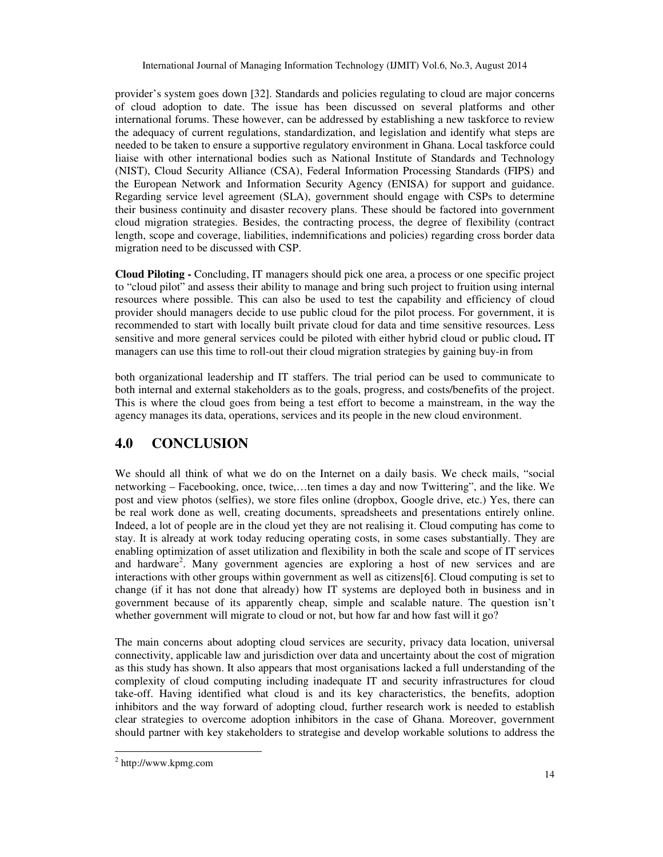provider's system goes down [32]. Standards and policies regulating to cloud are major concerns of cloud adoption to date. The issue has been discussed on several platforms and other international forums. These however, can be addressed by establishing a new taskforce to review the adequacy of current regulations, standardization, and legislation and identify what steps are needed to be taken to ensure a supportive regulatory environment in Ghana. Local taskforce could liaise with other international bodies such as National Institute of Standards and Technology (NIST), Cloud Security Alliance (CSA), Federal Information Processing Standards (FIPS) and the European Network and Information Security Agency (ENISA) for support and guidance. Regarding service level agreement (SLA), government should engage with CSPs to determine their business continuity and disaster recovery plans. These should be factored into government cloud migration strategies. Besides, the contracting process, the degree of flexibility (contract length, scope and coverage, liabilities, indemnifications and policies) regarding cross border data migration need to be discussed with CSP.

**Cloud Piloting -** Concluding, IT managers should pick one area, a process or one specific project to "cloud pilot" and assess their ability to manage and bring such project to fruition using internal resources where possible. This can also be used to test the capability and efficiency of cloud provider should managers decide to use public cloud for the pilot process. For government, it is recommended to start with locally built private cloud for data and time sensitive resources. Less sensitive and more general services could be piloted with either hybrid cloud or public cloud**.** IT managers can use this time to roll-out their cloud migration strategies by gaining buy-in from

both organizational leadership and IT staffers. The trial period can be used to communicate to both internal and external stakeholders as to the goals, progress, and costs/benefits of the project. This is where the cloud goes from being a test effort to become a mainstream, in the way the agency manages its data, operations, services and its people in the new cloud environment.

# **4.0 CONCLUSION**

We should all think of what we do on the Internet on a daily basis. We check mails, "social networking – Facebooking, once, twice,…ten times a day and now Twittering", and the like. We post and view photos (selfies), we store files online (dropbox, Google drive, etc.) Yes, there can be real work done as well, creating documents, spreadsheets and presentations entirely online. Indeed, a lot of people are in the cloud yet they are not realising it. Cloud computing has come to stay. It is already at work today reducing operating costs, in some cases substantially. They are enabling optimization of asset utilization and flexibility in both the scale and scope of IT services and hardware<sup>2</sup>. Many government agencies are exploring a host of new services and are interactions with other groups within government as well as citizens[6]. Cloud computing is set to change (if it has not done that already) how IT systems are deployed both in business and in government because of its apparently cheap, simple and scalable nature. The question isn't whether government will migrate to cloud or not, but how far and how fast will it go?

The main concerns about adopting cloud services are security, privacy data location, universal connectivity, applicable law and jurisdiction over data and uncertainty about the cost of migration as this study has shown. It also appears that most organisations lacked a full understanding of the complexity of cloud computing including inadequate IT and security infrastructures for cloud take-off. Having identified what cloud is and its key characteristics, the benefits, adoption inhibitors and the way forward of adopting cloud, further research work is needed to establish clear strategies to overcome adoption inhibitors in the case of Ghana. Moreover, government should partner with key stakeholders to strategise and develop workable solutions to address the

 $\overline{a}$ 

<sup>2</sup> http://www.kpmg.com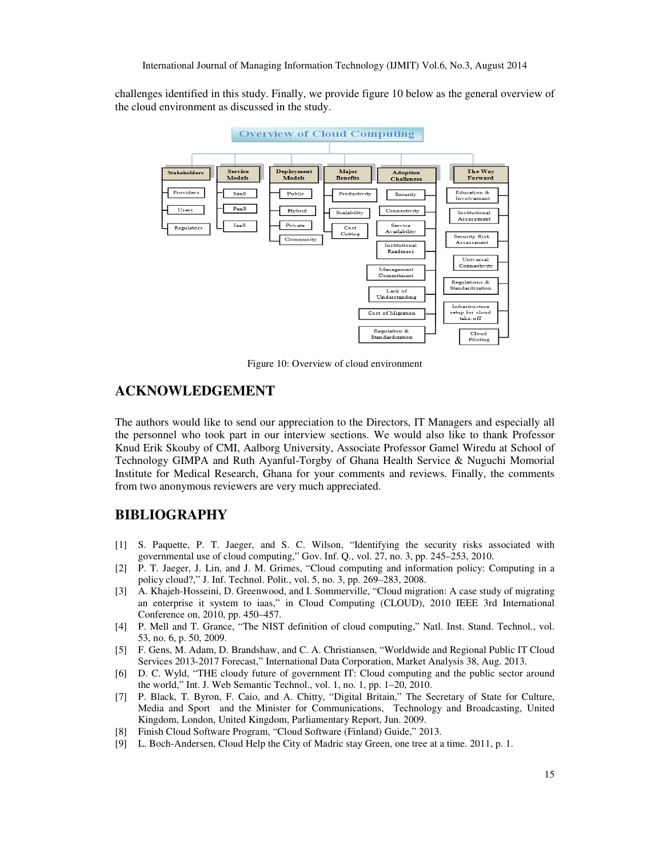challenges identified in this study. Finally, we provide figure 10 below as the general overview of the cloud environment as discussed in the study.



Figure 10: Overview of cloud environment

## **ACKNOWLEDGEMENT**

The authors would like to send our appreciation to the Directors, IT Managers and especially all the personnel who took part in our interview sections. We would also like to thank Professor Knud Erik Skouby of CMI, Aalborg University, Associate Professor Gamel Wiredu at School of Technology GIMPA and Ruth Ayanful-Torgby of Ghana Health Service & Nuguchi Momorial Institute for Medical Research, Ghana for your comments and reviews. Finally, the comments from two anonymous reviewers are very much appreciated.

## **BIBLIOGRAPHY**

- [1] S. Paquette, P. T. Jaeger, and S. C. Wilson, "Identifying the security risks associated with governmental use of cloud computing," Gov. Inf. Q., vol. 27, no. 3, pp. 245–253, 2010.
- [2] P. T. Jaeger, J. Lin, and J. M. Grimes, "Cloud computing and information policy: Computing in a policy cloud?," J. Inf. Technol. Polit., vol. 5, no. 3, pp. 269–283, 2008.
- [3] A. Khajeh-Hosseini, D. Greenwood, and I. Sommerville, "Cloud migration: A case study of migrating an enterprise it system to iaas," in Cloud Computing (CLOUD), 2010 IEEE 3rd International Conference on, 2010, pp. 450–457.
- [4] P. Mell and T. Grance, "The NIST definition of cloud computing," Natl. Inst. Stand. Technol., vol. 53, no. 6, p. 50, 2009.
- [5] F. Gens, M. Adam, D. Brandshaw, and C. A. Christiansen, "Worldwide and Regional Public IT Cloud Services 2013-2017 Forecast," International Data Corporation, Market Analysis 38, Aug. 2013.
- [6] D. C. Wyld, "THE cloudy future of government IT: Cloud computing and the public sector around the world," Int. J. Web Semantic Technol., vol. 1, no. 1, pp. 1–20, 2010.
- [7] P. Black, T. Byron, F. Caio, and A. Chitty, "Digital Britain," The Secretary of State for Culture, Media and Sport and the Minister for Communications, Technology and Broadcasting, United Kingdom, London, United Kingdom, Parliamentary Report, Jun. 2009.
- [8] Finish Cloud Software Program, "Cloud Software (Finland) Guide," 2013.
- [9] L. Boch-Andersen, Cloud Help the City of Madric stay Green, one tree at a time. 2011, p. 1.